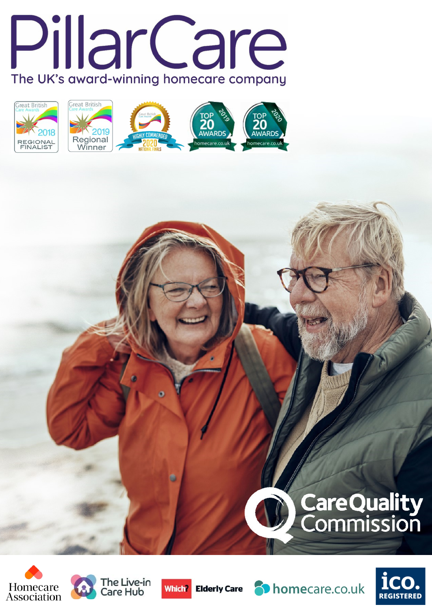















**CareQuality**<br>Commission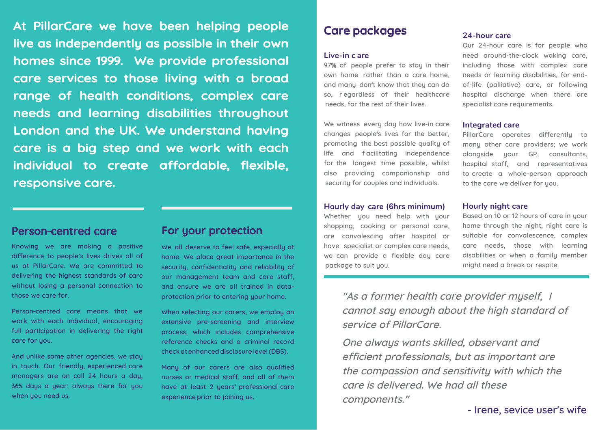**At PillarCare we have been helping people live as independently as possible in their own homes since 1999. We provide professional care services to those living with a broad range of health conditions, complex care needs and learning disabilities throughout London and the UK. We understand having care is a big step and we work with each individual to create affordable, flexible, responsive care.** 

# **Person-centred care**

**Knowing we are making a positive difference to people's lives drives all of us at PillarCare. We are committed to delivering the highest standards of care without losing a personal connection to those we care for.** 

**Person-centred care means that we work with each individual, encouraging full participation in delivering the right care for you.**

**And unlike some other agencies, we stay in touch. Our friendly, experienced care managers are on call 24 hours a day, 365 days a year; always there for you when you need us.** 

## **For your protection**

**We all deserve to feel safe, especially at home. We place great importance in the security, confidentiality and reliability of our management team and care staff, and ensure we are all trained in dataprotection prior to entering your home.**

**When selecting our carers, we employ an extensive pre-screening and interview process, which includes comprehensive reference checks and a criminal record check at enhanced disclosure level(DBS).** 

**Many of our carers are also qualified nurses or medical staff, and all of them have at least 2 years' professional care experience prior to joining us.**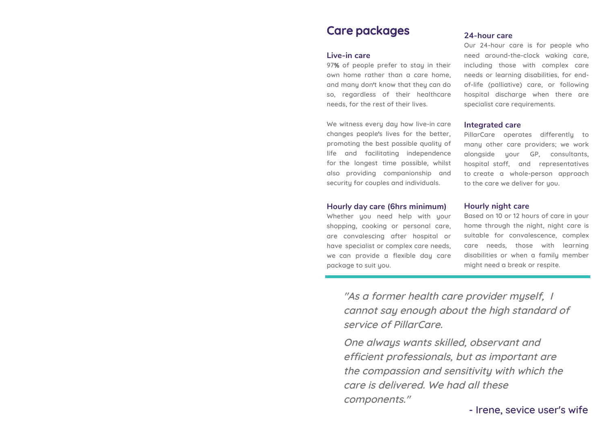# **Care packages**

#### **Live-in care**

**97% of people prefer to stay in their own home rather than a care home, and many don't know that they can do so, regardless of their healthcare needs, for the rest of their lives.** 

**We witness every day how live-in care changes people's lives for the better, promoting the best possible quality of life and facilitating independence for the longest time possible, whilst also providing companionship and security for couples and individuals.**

## **Hourly day care (6hrs minimum)**

**Whether you need help with your shopping, cooking or personal care, are convalescing after hospital or have specialist or complex care needs, we can provide a flexible day care package to suit you.**

### **24-hour care**

**Our 24-hour care is for people who need around-the-clock waking care, including those with complex care needs or learning disabilities, for endof-life (palliative) care, or following hospital discharge when there are specialist care requirements.**

#### **Integrated care**

**PillarCare operates differently to many other care providers; we work alongside your GP, consultants, hospital staff, and representatives to create a whole-person approach** to the care we deliver for you.

### **Hourly night care**

**Based on 10 or 12 hours of care in your home through the night, night care is suitable for convalescence, complex care needs, those with learning disabilities or when a family member might need a break or respite.**

**"As a former health care provider myself, I cannot say enough about the high standard of service of PillarCare.** 

**One always wants skilled, observant and efficient professionals, but as important are the compassion and sensitivity with which the care is delivered. We had all these components."**

**- Irene, sevice user's wife**